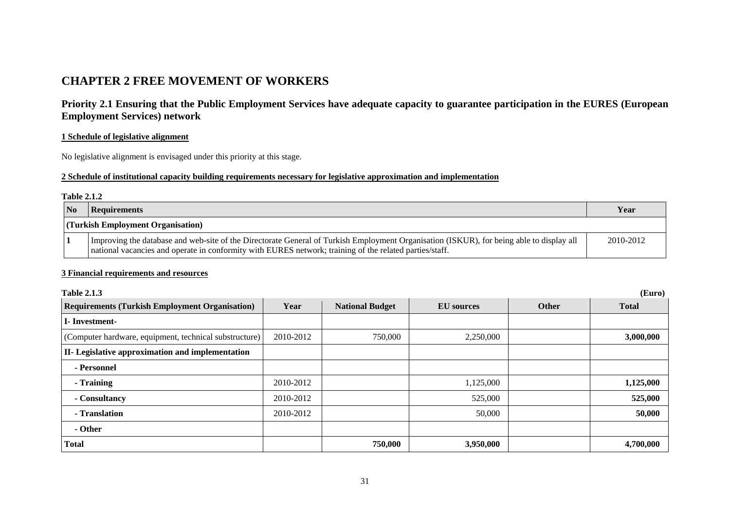# **CHAPTER 2 FREE MOVEMENT OF WORKERS**

**Priority 2.1 Ensuring that the Public Employment Services have adequate capacity to guarantee participation in the EURES (European Employment Services) network** 

### **1 Schedule of legislative alignment**

No legislative alignment is envisaged under this priority at this stage.

### **2 Schedule of institutional capacity building requirements necessary for legislative approximation and implementation**

#### **Table 2.1.2**

| <b>No</b>                         | Requirements                                                                                                                                                                                                                                        | Year      |  |  |
|-----------------------------------|-----------------------------------------------------------------------------------------------------------------------------------------------------------------------------------------------------------------------------------------------------|-----------|--|--|
| (Turkish Employment Organisation) |                                                                                                                                                                                                                                                     |           |  |  |
|                                   | Improving the database and web-site of the Directorate General of Turkish Employment Organisation (ISKUR), for being able to display all<br>national vacancies and operate in conformity with EURES network; training of the related parties/staff. | 2010-2012 |  |  |

### **3 Financial requirements and resources**

| <b>Table 2.1.3</b><br>(Euro)                            |           |                        |                   |              |              |
|---------------------------------------------------------|-----------|------------------------|-------------------|--------------|--------------|
| <b>Requirements (Turkish Employment Organisation)</b>   | Year      | <b>National Budget</b> | <b>EU</b> sources | <b>Other</b> | <b>Total</b> |
| <b>I</b> -Investment-                                   |           |                        |                   |              |              |
| (Computer hardware, equipment, technical substructure)  | 2010-2012 | 750,000                | 2,250,000         |              | 3,000,000    |
| <b>II-</b> Legislative approximation and implementation |           |                        |                   |              |              |
| - Personnel                                             |           |                        |                   |              |              |
| - Training                                              | 2010-2012 |                        | 1,125,000         |              | 1,125,000    |
| - Consultancy                                           | 2010-2012 |                        | 525,000           |              | 525,000      |
| - Translation                                           | 2010-2012 |                        | 50,000            |              | 50,000       |
| - Other                                                 |           |                        |                   |              |              |
| <b>Total</b>                                            |           | 750,000                | 3,950,000         |              | 4,700,000    |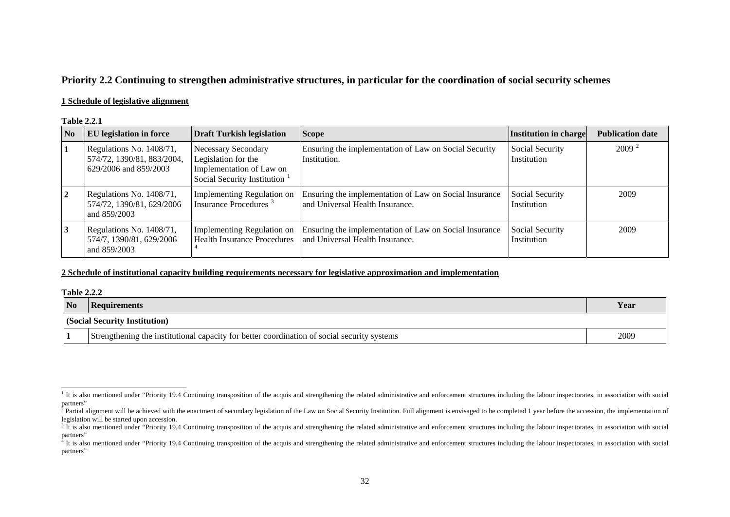# **Priority 2.2 Continuing to strengthen administrative structures, in particular for the coordination of social security schemes**

### **1 Schedule of legislative alignment**

#### **Table 2.2.1**

| N <sub>0</sub> | <b>EU</b> legislation in force                                                  | <b>Draft Turkish legislation</b>                                                                      | <b>Scope</b>                                                                              | Institution in charge          | <b>Publication date</b> |
|----------------|---------------------------------------------------------------------------------|-------------------------------------------------------------------------------------------------------|-------------------------------------------------------------------------------------------|--------------------------------|-------------------------|
|                | Regulations No. 1408/71,<br>574/72, 1390/81, 883/2004,<br>629/2006 and 859/2003 | Necessary Secondary<br>Legislation for the<br>Implementation of Law on<br>Social Security Institution | Ensuring the implementation of Law on Social Security<br>Institution.                     | Social Security<br>Institution | 2009 <sup>2</sup>       |
|                | Regulations No. 1408/71,<br>574/72, 1390/81, 629/2006<br>and 859/2003           | Implementing Regulation on<br>Insurance Procedures <sup>3</sup>                                       | Ensuring the implementation of Law on Social Insurance<br>and Universal Health Insurance. | Social Security<br>Institution | 2009                    |
| 3              | Regulations No. 1408/71,<br>574/7, 1390/81, 629/2006<br>and 859/2003            | Implementing Regulation on<br><b>Health Insurance Procedures</b>                                      | Ensuring the implementation of Law on Social Insurance<br>and Universal Health Insurance. | Social Security<br>Institution | 2009                    |

### **2 Schedule of institutional capacity building requirements necessary for legislative approximation and implementation**

| <b>Table 2.2.2</b> |                                                                                             |      |  |  |  |
|--------------------|---------------------------------------------------------------------------------------------|------|--|--|--|
| <b>No</b>          | Requirements                                                                                | Year |  |  |  |
|                    | <b>(Social Security Institution)</b>                                                        |      |  |  |  |
|                    | Strengthening the institutional capacity for better coordination of social security systems | 2009 |  |  |  |

<span id="page-1-0"></span> $1$  It is also mentioned under "Priority 19.4 Continuing transposition of the acquis and strengthening the related administrative and enforcement structures including the labour inspectorates, in association with social partners"

<span id="page-1-1"></span> $2$  Partial alignment will be achieved with the enactment of secondary legislation of the Law on Social Security Institution. Full alignment is envisaged to be completed 1 year before the accession, the implementation of legislation will be started upon accession.

<span id="page-1-2"></span> $3$  It is also mentioned under "Priority 19.4 Continuing transposition of the acquis and strengthening the related administrative and enforcement structures including the labour inspectorates, in association with social partners"

<span id="page-1-3"></span> $4$  It is also mentioned under "Priority 19.4 Continuing transposition of the acquis and strengthening the related administrative and enforcement structures including the labour inspectorates, in association with social partners"